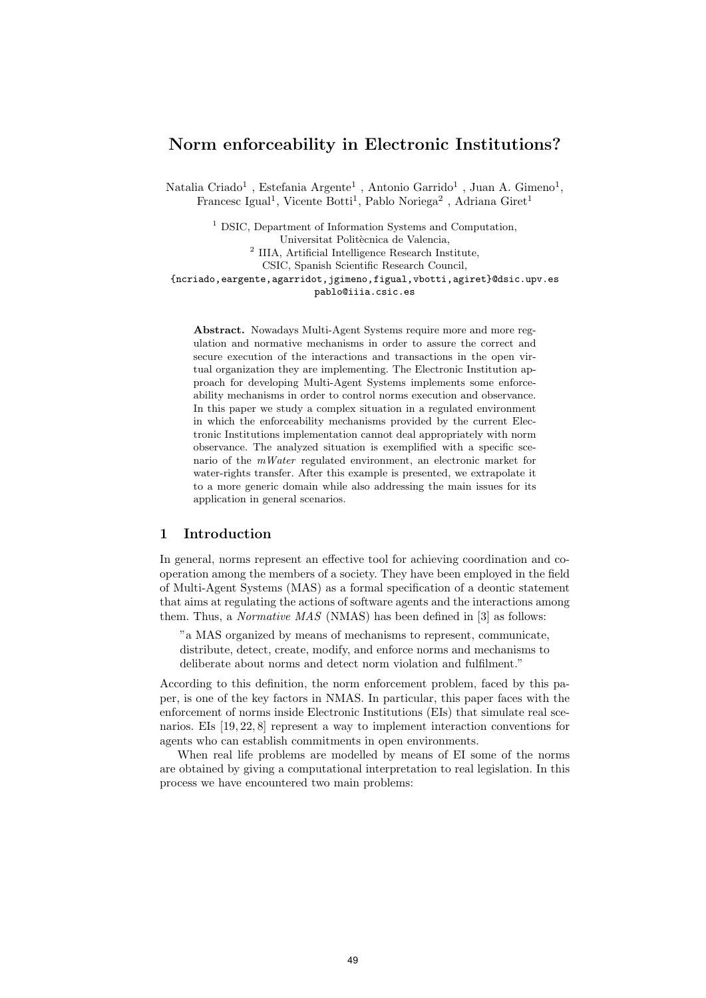# Norm enforceability in Electronic Institutions?

Natalia Criado<sup>1</sup>, Estefania Argente<sup>1</sup>, Antonio Garrido<sup>1</sup>, Juan A. Gimeno<sup>1</sup>, Francesc Igual<sup>1</sup>, Vicente Botti<sup>1</sup>, Pablo Noriega<sup>2</sup>, Adriana Giret<sup>1</sup>

<sup>1</sup> DSIC, Department of Information Systems and Computation, Universitat Politècnica de Valencia, <sup>2</sup> IIIA, Artificial Intelligence Research Institute, CSIC, Spanish Scientific Research Council, {ncriado,eargente,agarridot,jgimeno,figual,vbotti,agiret}@dsic.upv.es pablo@iiia.csic.es

Abstract. Nowadays Multi-Agent Systems require more and more regulation and normative mechanisms in order to assure the correct and secure execution of the interactions and transactions in the open virtual organization they are implementing. The Electronic Institution approach for developing Multi-Agent Systems implements some enforceability mechanisms in order to control norms execution and observance. In this paper we study a complex situation in a regulated environment in which the enforceability mechanisms provided by the current Electronic Institutions implementation cannot deal appropriately with norm observance. The analyzed situation is exemplified with a specific scenario of the mWater regulated environment, an electronic market for water-rights transfer. After this example is presented, we extrapolate it to a more generic domain while also addressing the main issues for its application in general scenarios.

# 1 Introduction

In general, norms represent an effective tool for achieving coordination and cooperation among the members of a society. They have been employed in the field of Multi-Agent Systems (MAS) as a formal specification of a deontic statement that aims at regulating the actions of software agents and the interactions among them. Thus, a *Normative MAS* (NMAS) has been defined in [3] as follows:

"a MAS organized by means of mechanisms to represent, communicate, distribute, detect, create, modify, and enforce norms and mechanisms to deliberate about norms and detect norm violation and fulfilment."

According to this definition, the norm enforcement problem, faced by this paper, is one of the key factors in NMAS. In particular, this paper faces with the enforcement of norms inside Electronic Institutions (EIs) that simulate real scenarios. EIs [19, 22, 8] represent a way to implement interaction conventions for agents who can establish commitments in open environments.

When real life problems are modelled by means of EI some of the norms are obtained by giving a computational interpretation to real legislation. In this process we have encountered two main problems: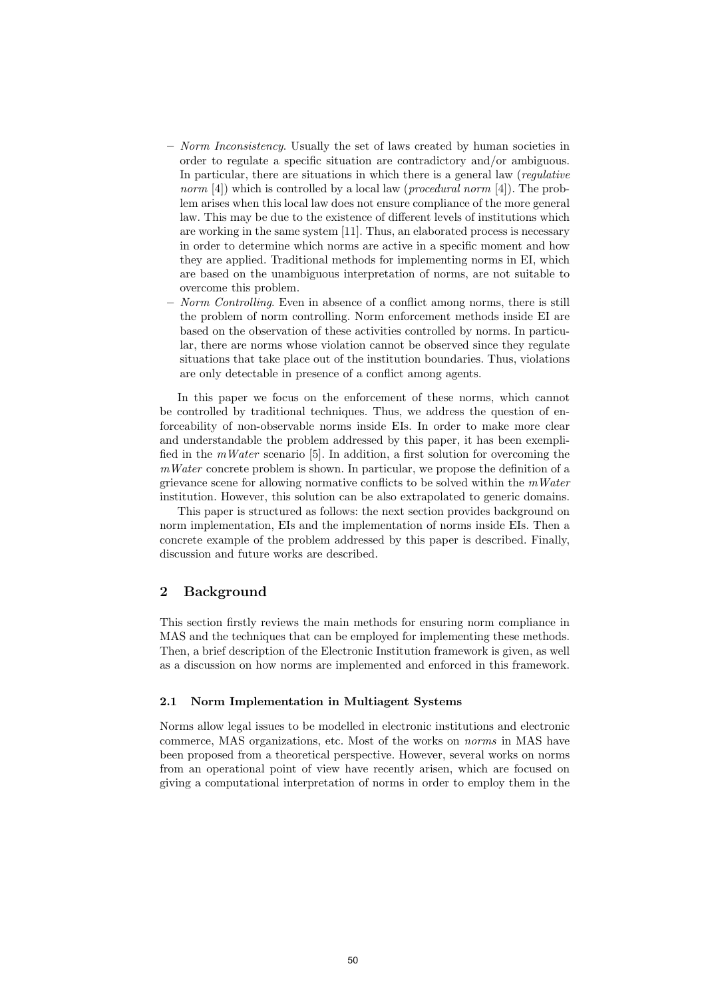- Norm Inconsistency. Usually the set of laws created by human societies in order to regulate a specific situation are contradictory and/or ambiguous. In particular, there are situations in which there is a general law (regulative *norm* [4]) which is controlled by a local law (*procedural norm* [4]). The problem arises when this local law does not ensure compliance of the more general law. This may be due to the existence of different levels of institutions which are working in the same system [11]. Thus, an elaborated process is necessary in order to determine which norms are active in a specific moment and how they are applied. Traditional methods for implementing norms in EI, which are based on the unambiguous interpretation of norms, are not suitable to overcome this problem.
- $-$  *Norm Controlling.* Even in absence of a conflict among norms, there is still the problem of norm controlling. Norm enforcement methods inside EI are based on the observation of these activities controlled by norms. In particular, there are norms whose violation cannot be observed since they regulate situations that take place out of the institution boundaries. Thus, violations are only detectable in presence of a conflict among agents.

In this paper we focus on the enforcement of these norms, which cannot be controlled by traditional techniques. Thus, we address the question of enforceability of non-observable norms inside EIs. In order to make more clear and understandable the problem addressed by this paper, it has been exemplified in the  $mWater$  scenario [5]. In addition, a first solution for overcoming the mWater concrete problem is shown. In particular, we propose the definition of a grievance scene for allowing normative conflicts to be solved within the  $mWater$ institution. However, this solution can be also extrapolated to generic domains.

This paper is structured as follows: the next section provides background on norm implementation, EIs and the implementation of norms inside EIs. Then a concrete example of the problem addressed by this paper is described. Finally, discussion and future works are described.

# 2 Background

This section firstly reviews the main methods for ensuring norm compliance in MAS and the techniques that can be employed for implementing these methods. Then, a brief description of the Electronic Institution framework is given, as well as a discussion on how norms are implemented and enforced in this framework.

#### 2.1 Norm Implementation in Multiagent Systems

Norms allow legal issues to be modelled in electronic institutions and electronic commerce, MAS organizations, etc. Most of the works on norms in MAS have been proposed from a theoretical perspective. However, several works on norms from an operational point of view have recently arisen, which are focused on giving a computational interpretation of norms in order to employ them in the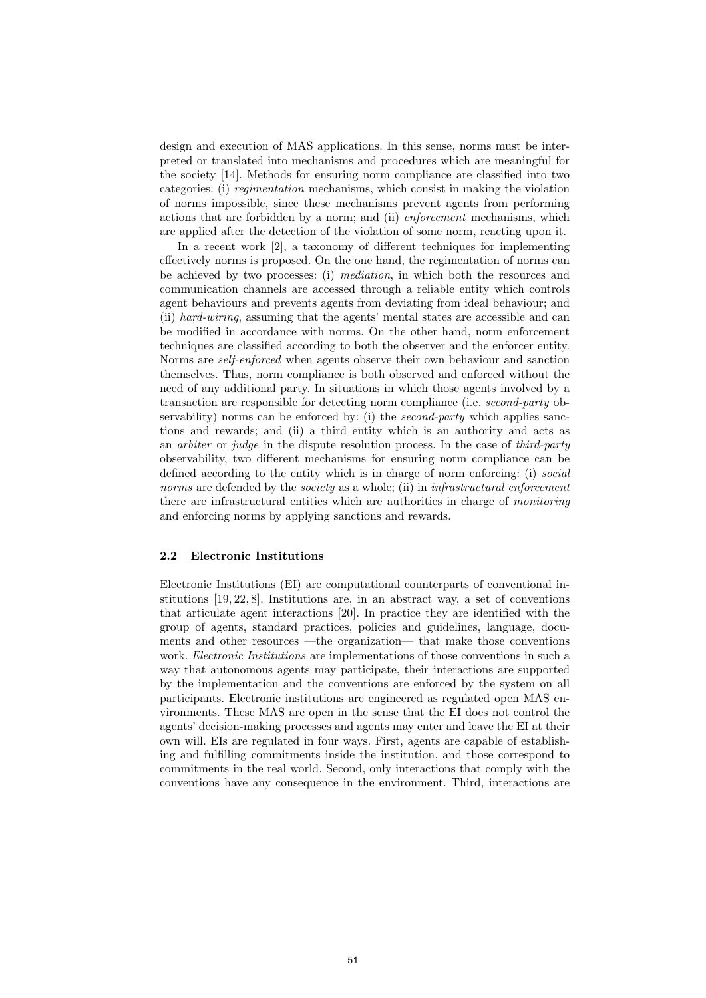design and execution of MAS applications. In this sense, norms must be interpreted or translated into mechanisms and procedures which are meaningful for the society [14]. Methods for ensuring norm compliance are classified into two categories: (i) regimentation mechanisms, which consist in making the violation of norms impossible, since these mechanisms prevent agents from performing actions that are forbidden by a norm; and (ii) enforcement mechanisms, which are applied after the detection of the violation of some norm, reacting upon it.

In a recent work [2], a taxonomy of different techniques for implementing effectively norms is proposed. On the one hand, the regimentation of norms can be achieved by two processes: (i) mediation, in which both the resources and communication channels are accessed through a reliable entity which controls agent behaviours and prevents agents from deviating from ideal behaviour; and (ii) hard-wiring, assuming that the agents' mental states are accessible and can be modified in accordance with norms. On the other hand, norm enforcement techniques are classified according to both the observer and the enforcer entity. Norms are self-enforced when agents observe their own behaviour and sanction themselves. Thus, norm compliance is both observed and enforced without the need of any additional party. In situations in which those agents involved by a transaction are responsible for detecting norm compliance (i.e. second-party observability) norms can be enforced by: (i) the *second-party* which applies sanctions and rewards; and (ii) a third entity which is an authority and acts as an *arbiter* or *judge* in the dispute resolution process. In the case of *third-party* observability, two different mechanisms for ensuring norm compliance can be defined according to the entity which is in charge of norm enforcing: (i) social norms are defended by the *society* as a whole; (ii) in *infrastructural enforcement* there are infrastructural entities which are authorities in charge of monitoring and enforcing norms by applying sanctions and rewards.

#### 2.2 Electronic Institutions

Electronic Institutions (EI) are computational counterparts of conventional institutions [19, 22, 8]. Institutions are, in an abstract way, a set of conventions that articulate agent interactions [20]. In practice they are identified with the group of agents, standard practices, policies and guidelines, language, documents and other resources —the organization— that make those conventions work. *Electronic Institutions* are implementations of those conventions in such a way that autonomous agents may participate, their interactions are supported by the implementation and the conventions are enforced by the system on all participants. Electronic institutions are engineered as regulated open MAS environments. These MAS are open in the sense that the EI does not control the agents' decision-making processes and agents may enter and leave the EI at their own will. EIs are regulated in four ways. First, agents are capable of establishing and fulfilling commitments inside the institution, and those correspond to commitments in the real world. Second, only interactions that comply with the conventions have any consequence in the environment. Third, interactions are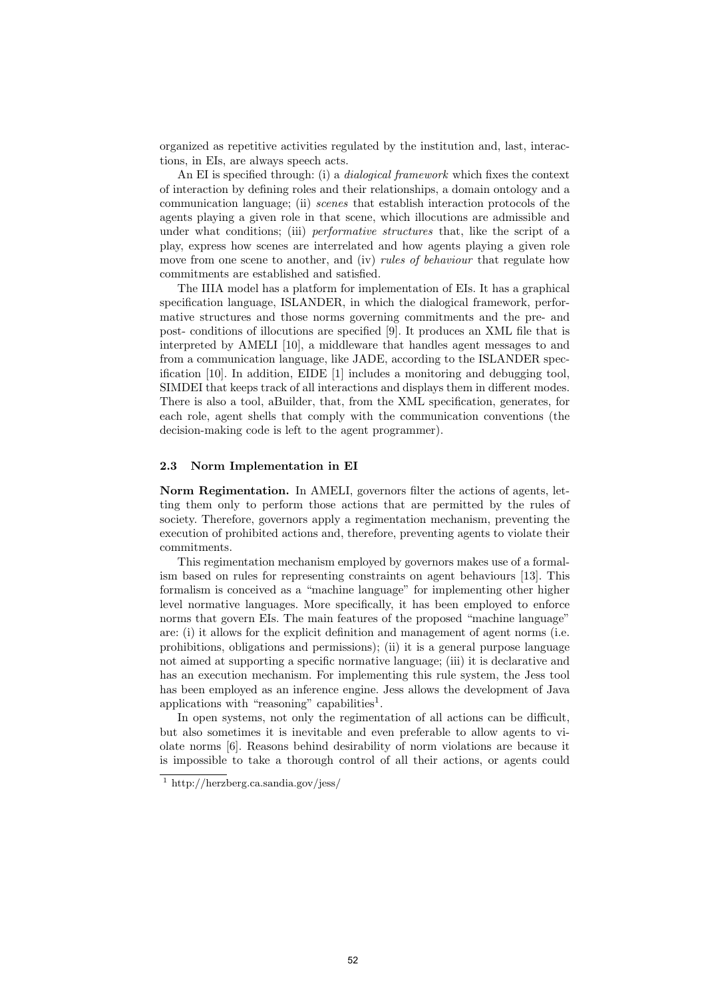organized as repetitive activities regulated by the institution and, last, interactions, in EIs, are always speech acts.

An EI is specified through: (i) a *dialogical framework* which fixes the context of interaction by defining roles and their relationships, a domain ontology and a communication language; (ii) scenes that establish interaction protocols of the agents playing a given role in that scene, which illocutions are admissible and under what conditions; (iii) *performative structures* that, like the script of a play, express how scenes are interrelated and how agents playing a given role move from one scene to another, and (iv) rules of behaviour that regulate how commitments are established and satisfied.

The IIIA model has a platform for implementation of EIs. It has a graphical specification language, ISLANDER, in which the dialogical framework, performative structures and those norms governing commitments and the pre- and post- conditions of illocutions are specified [9]. It produces an XML file that is interpreted by AMELI [10], a middleware that handles agent messages to and from a communication language, like JADE, according to the ISLANDER specification [10]. In addition, EIDE [1] includes a monitoring and debugging tool, SIMDEI that keeps track of all interactions and displays them in different modes. There is also a tool, aBuilder, that, from the XML specification, generates, for each role, agent shells that comply with the communication conventions (the decision-making code is left to the agent programmer).

#### 2.3 Norm Implementation in EI

Norm Regimentation. In AMELI, governors filter the actions of agents, letting them only to perform those actions that are permitted by the rules of society. Therefore, governors apply a regimentation mechanism, preventing the execution of prohibited actions and, therefore, preventing agents to violate their commitments.

This regimentation mechanism employed by governors makes use of a formalism based on rules for representing constraints on agent behaviours [13]. This formalism is conceived as a "machine language" for implementing other higher level normative languages. More specifically, it has been employed to enforce norms that govern EIs. The main features of the proposed "machine language" are: (i) it allows for the explicit definition and management of agent norms (i.e. prohibitions, obligations and permissions); (ii) it is a general purpose language not aimed at supporting a specific normative language; (iii) it is declarative and has an execution mechanism. For implementing this rule system, the Jess tool has been employed as an inference engine. Jess allows the development of Java applications with "reasoning" capabilities<sup>1</sup>.

In open systems, not only the regimentation of all actions can be difficult, but also sometimes it is inevitable and even preferable to allow agents to violate norms [6]. Reasons behind desirability of norm violations are because it is impossible to take a thorough control of all their actions, or agents could

<sup>1</sup> http://herzberg.ca.sandia.gov/jess/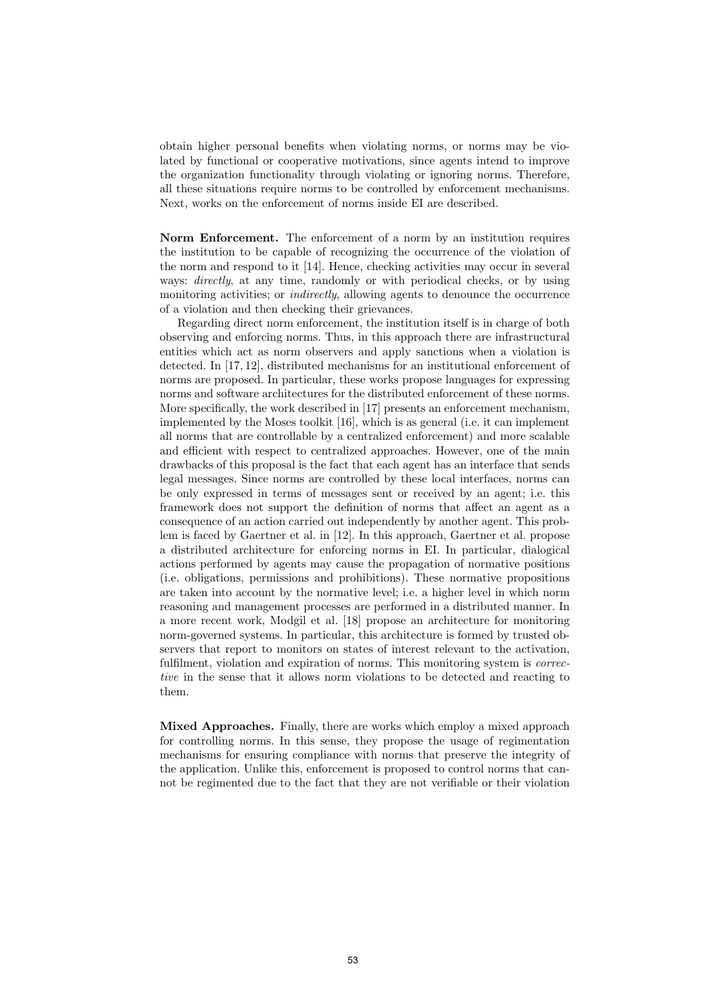obtain higher personal benefits when violating norms, or norms may be violated by functional or cooperative motivations, since agents intend to improve the organization functionality through violating or ignoring norms. Therefore, all these situations require norms to be controlled by enforcement mechanisms. Next, works on the enforcement of norms inside EI are described.

Norm Enforcement. The enforcement of a norm by an institution requires the institution to be capable of recognizing the occurrence of the violation of the norm and respond to it [14]. Hence, checking activities may occur in several ways: *directly*, at any time, randomly or with periodical checks, or by using monitoring activities; or *indirectly*, allowing agents to denounce the occurrence of a violation and then checking their grievances.

Regarding direct norm enforcement, the institution itself is in charge of both observing and enforcing norms. Thus, in this approach there are infrastructural entities which act as norm observers and apply sanctions when a violation is detected. In [17, 12], distributed mechanisms for an institutional enforcement of norms are proposed. In particular, these works propose languages for expressing norms and software architectures for the distributed enforcement of these norms. More specifically, the work described in [17] presents an enforcement mechanism, implemented by the Moses toolkit [16], which is as general (i.e. it can implement all norms that are controllable by a centralized enforcement) and more scalable and efficient with respect to centralized approaches. However, one of the main drawbacks of this proposal is the fact that each agent has an interface that sends legal messages. Since norms are controlled by these local interfaces, norms can be only expressed in terms of messages sent or received by an agent; i.e. this framework does not support the definition of norms that affect an agent as a consequence of an action carried out independently by another agent. This problem is faced by Gaertner et al. in [12]. In this approach, Gaertner et al. propose a distributed architecture for enforcing norms in EI. In particular, dialogical actions performed by agents may cause the propagation of normative positions (i.e. obligations, permissions and prohibitions). These normative propositions are taken into account by the normative level; i.e. a higher level in which norm reasoning and management processes are performed in a distributed manner. In a more recent work, Modgil et al. [18] propose an architecture for monitoring norm-governed systems. In particular, this architecture is formed by trusted observers that report to monitors on states of interest relevant to the activation, fulfilment, violation and expiration of norms. This monitoring system is *correc*tive in the sense that it allows norm violations to be detected and reacting to them.

Mixed Approaches. Finally, there are works which employ a mixed approach for controlling norms. In this sense, they propose the usage of regimentation mechanisms for ensuring compliance with norms that preserve the integrity of the application. Unlike this, enforcement is proposed to control norms that cannot be regimented due to the fact that they are not verifiable or their violation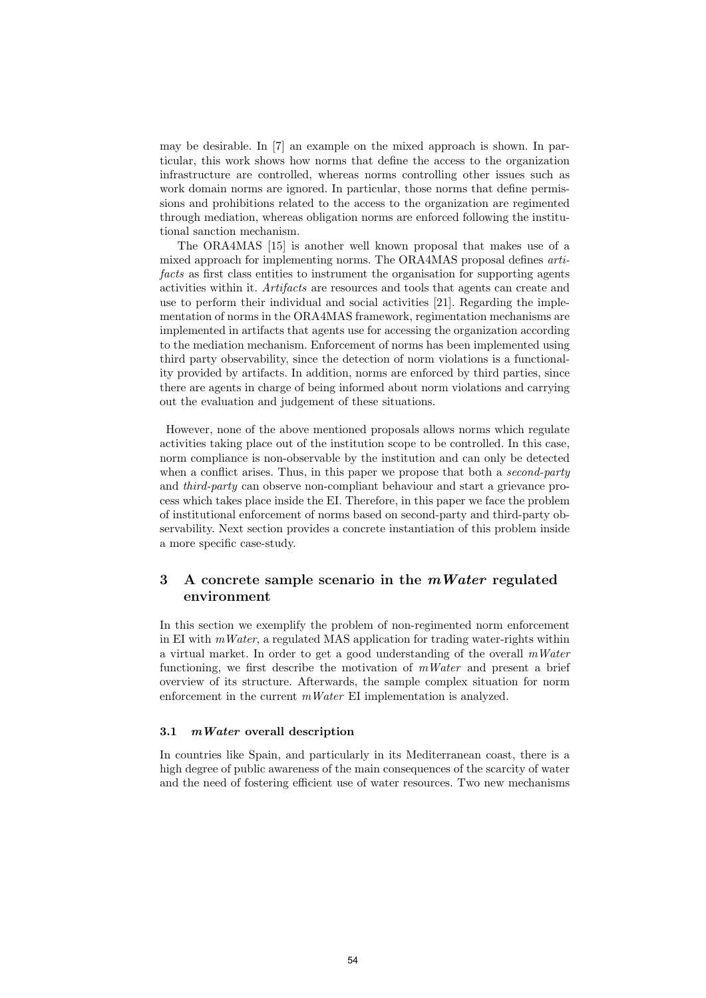may be desirable. In [7] an example on the mixed approach is shown. In particular, this work shows how norms that define the access to the organization infrastructure are controlled, whereas norms controlling other issues such as work domain norms are ignored. In particular, those norms that define permissions and prohibitions related to the access to the organization are regimented through mediation, whereas obligation norms are enforced following the institutional sanction mechanism.

The ORA4MAS [15] is another well known proposal that makes use of a mixed approach for implementing norms. The ORA4MAS proposal defines artifacts as first class entities to instrument the organisation for supporting agents activities within it. Artifacts are resources and tools that agents can create and use to perform their individual and social activities [21]. Regarding the implementation of norms in the ORA4MAS framework, regimentation mechanisms are implemented in artifacts that agents use for accessing the organization according to the mediation mechanism. Enforcement of norms has been implemented using third party observability, since the detection of norm violations is a functionality provided by artifacts. In addition, norms are enforced by third parties, since there are agents in charge of being informed about norm violations and carrying out the evaluation and judgement of these situations.

However, none of the above mentioned proposals allows norms which regulate activities taking place out of the institution scope to be controlled. In this case, norm compliance is non-observable by the institution and can only be detected when a conflict arises. Thus, in this paper we propose that both a *second-party* and third-party can observe non-compliant behaviour and start a grievance process which takes place inside the EI. Therefore, in this paper we face the problem of institutional enforcement of norms based on second-party and third-party observability. Next section provides a concrete instantiation of this problem inside a more specific case-study.

# 3 A concrete sample scenario in the  $mWater$  regulated environment

In this section we exemplify the problem of non-regimented norm enforcement in EI with  $mWater$ , a regulated MAS application for trading water-rights within a virtual market. In order to get a good understanding of the overall  $mWater$ functioning, we first describe the motivation of  $mWater$  and present a brief overview of its structure. Afterwards, the sample complex situation for norm enforcement in the current  $mWater$  EI implementation is analyzed.

### 3.1  $mWater$  overall description

In countries like Spain, and particularly in its Mediterranean coast, there is a high degree of public awareness of the main consequences of the scarcity of water and the need of fostering efficient use of water resources. Two new mechanisms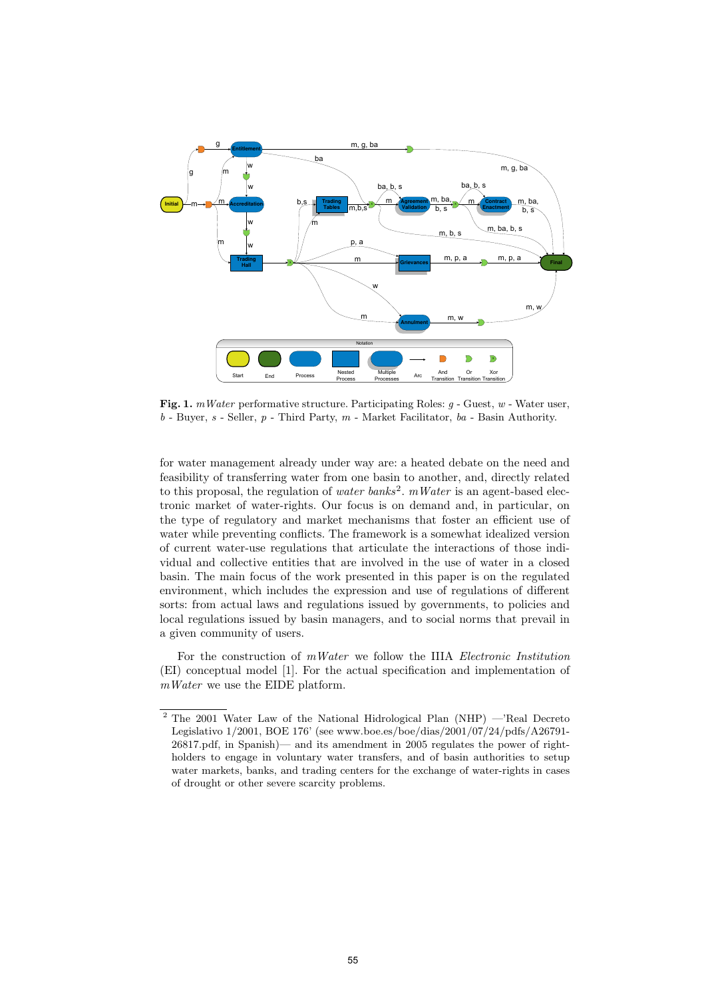

**Fig. 1.**  $mWater$  performative structure. Participating Roles:  $g$  - Guest,  $w$  - Water user,  $b$  - Buyer,  $s$  - Seller,  $p$  - Third Party,  $m$  - Market Facilitator,  $ba$  - Basin Authority.

for water management already under way are: a heated debate on the need and feasibility of transferring water from one basin to another, and, directly related to this proposal, the regulation of *water banks*<sup>2</sup>.  $mWater$  is an agent-based electronic market of water-rights. Our focus is on demand and, in particular, on the type of regulatory and market mechanisms that foster an efficient use of water while preventing conflicts. The framework is a somewhat idealized version of current water-use regulations that articulate the interactions of those individual and collective entities that are involved in the use of water in a closed basin. The main focus of the work presented in this paper is on the regulated environment, which includes the expression and use of regulations of different sorts: from actual laws and regulations issued by governments, to policies and local regulations issued by basin managers, and to social norms that prevail in a given community of users.

For the construction of  $mWater$  we follow the IIIA *Electronic Institution* (EI) conceptual model [1]. For the actual specification and implementation of mWater we use the EIDE platform.

 $\frac{2}{10}$  The 2001 Water Law of the National Hidrological Plan (NHP) —'Real Decreto Legislativo 1/2001, BOE 176' (see www.boe.es/boe/dias/2001/07/24/pdfs/A26791- 26817.pdf, in Spanish)— and its amendment in 2005 regulates the power of rightholders to engage in voluntary water transfers, and of basin authorities to setup water markets, banks, and trading centers for the exchange of water-rights in cases of drought or other severe scarcity problems.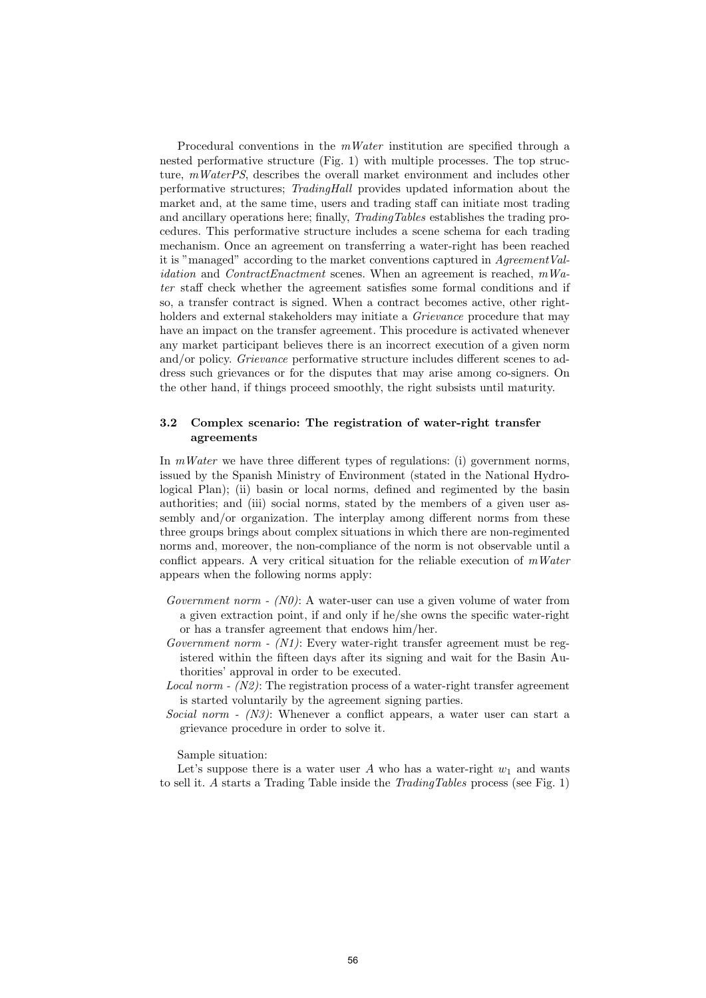Procedural conventions in the  $mWater$  institution are specified through a nested performative structure (Fig. 1) with multiple processes. The top structure, *mWaterPS*, describes the overall market environment and includes other performative structures; TradingHall provides updated information about the market and, at the same time, users and trading staff can initiate most trading and ancillary operations here; finally, TradingTables establishes the trading procedures. This performative structure includes a scene schema for each trading mechanism. Once an agreement on transferring a water-right has been reached it is "managed" according to the market conventions captured in AgreementVal*idation* and *ContractEnactment* scenes. When an agreement is reached,  $mWa$ ter staff check whether the agreement satisfies some formal conditions and if so, a transfer contract is signed. When a contract becomes active, other rightholders and external stakeholders may initiate a *Grievance* procedure that may have an impact on the transfer agreement. This procedure is activated whenever any market participant believes there is an incorrect execution of a given norm and/or policy. Grievance performative structure includes different scenes to address such grievances or for the disputes that may arise among co-signers. On the other hand, if things proceed smoothly, the right subsists until maturity.

# 3.2 Complex scenario: The registration of water-right transfer agreements

In  $mWater$  we have three different types of regulations: (i) government norms, issued by the Spanish Ministry of Environment (stated in the National Hydrological Plan); (ii) basin or local norms, defined and regimented by the basin authorities; and (iii) social norms, stated by the members of a given user assembly and/or organization. The interplay among different norms from these three groups brings about complex situations in which there are non-regimented norms and, moreover, the non-compliance of the norm is not observable until a conflict appears. A very critical situation for the reliable execution of  $mWater$ appears when the following norms apply:

- Government norm  $(NO)$ : A water-user can use a given volume of water from a given extraction point, if and only if he/she owns the specific water-right or has a transfer agreement that endows him/her.
- Government norm  $(N1)$ : Every water-right transfer agreement must be registered within the fifteen days after its signing and wait for the Basin Authorities' approval in order to be executed.
- *Local norm*  $(N2)$ *:* The registration process of a water-right transfer agreement is started voluntarily by the agreement signing parties.
- Social norm (N3): Whenever a conflict appears, a water user can start a grievance procedure in order to solve it.

Sample situation:

Let's suppose there is a water user A who has a water-right  $w_1$  and wants to sell it. A starts a Trading Table inside the TradingTables process (see Fig. 1)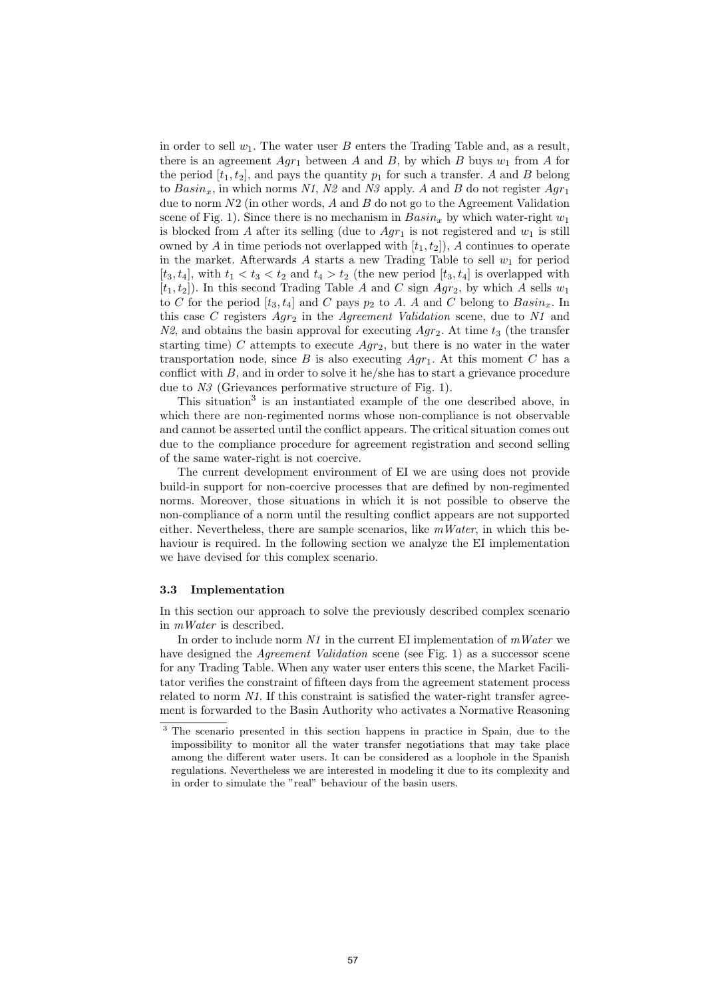in order to sell  $w_1$ . The water user B enters the Trading Table and, as a result, there is an agreement  $Agr_1$  between A and B, by which B buys  $w_1$  from A for the period  $[t_1, t_2]$ , and pays the quantity  $p_1$  for such a transfer. A and B belong to  $Basin_x$ , in which norms N1, N2 and N3 apply. A and B do not register  $Agr_1$ due to norm  $N2$  (in other words, A and B do not go to the Agreement Validation scene of Fig. 1). Since there is no mechanism in  $Basin_x$  by which water-right  $w_1$ is blocked from A after its selling (due to  $Agr_1$  is not registered and  $w_1$  is still owned by A in time periods not overlapped with  $[t_1, t_2]$ , A continues to operate in the market. Afterwards  $A$  starts a new Trading Table to sell  $w_1$  for period  $[t_3, t_4]$ , with  $t_1 < t_3 < t_2$  and  $t_4 > t_2$  (the new period  $[t_3, t_4]$  is overlapped with  $[t_1, t_2]$ . In this second Trading Table A and C sign  $Agr_2$ , by which A sells  $w_1$ to C for the period  $[t_3, t_4]$  and C pays  $p_2$  to A. A and C belong to  $Basin_x$ . In this case  $C$  registers  $Agr_2$  in the Agreement Validation scene, due to  $N1$  and  $N2$ , and obtains the basin approval for executing  $Agr_2$ . At time  $t_3$  (the transfer starting time) C attempts to execute  $Agr_2$ , but there is no water in the water transportation node, since B is also executing  $Aqr_1$ . At this moment C has a conflict with  $B$ , and in order to solve it he/she has to start a grievance procedure due to N3 (Grievances performative structure of Fig. 1).

This situation<sup>3</sup> is an instantiated example of the one described above, in which there are non-regimented norms whose non-compliance is not observable and cannot be asserted until the conflict appears. The critical situation comes out due to the compliance procedure for agreement registration and second selling of the same water-right is not coercive.

The current development environment of EI we are using does not provide build-in support for non-coercive processes that are defined by non-regimented norms. Moreover, those situations in which it is not possible to observe the non-compliance of a norm until the resulting conflict appears are not supported either. Nevertheless, there are sample scenarios, like  $mWater$ , in which this behaviour is required. In the following section we analyze the EI implementation we have devised for this complex scenario.

#### 3.3 Implementation

In this section our approach to solve the previously described complex scenario in mWater is described.

In order to include norm  $M1$  in the current EI implementation of  $mWater$  we have designed the *Agreement Validation* scene (see Fig. 1) as a successor scene for any Trading Table. When any water user enters this scene, the Market Facilitator verifies the constraint of fifteen days from the agreement statement process related to norm  $N1$ . If this constraint is satisfied the water-right transfer agreement is forwarded to the Basin Authority who activates a Normative Reasoning

<sup>&</sup>lt;sup>3</sup> The scenario presented in this section happens in practice in Spain, due to the impossibility to monitor all the water transfer negotiations that may take place among the different water users. It can be considered as a loophole in the Spanish regulations. Nevertheless we are interested in modeling it due to its complexity and in order to simulate the "real" behaviour of the basin users.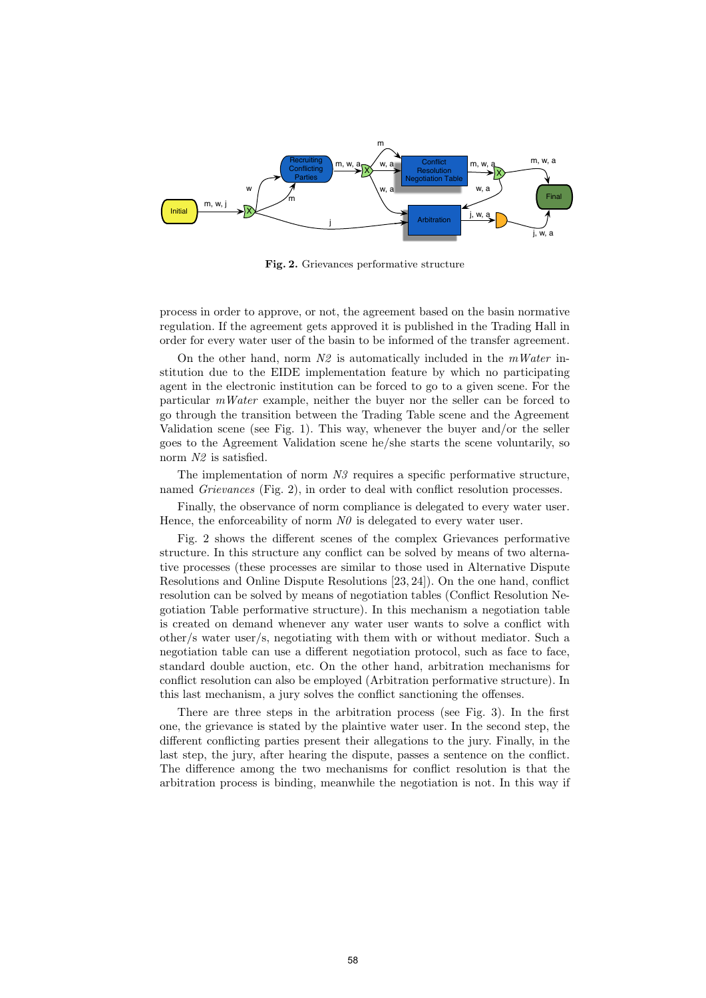

Fig. 2. Grievances performative structure

process in order to approve, or not, the agreement based on the basin normative regulation. If the agreement gets approved it is published in the Trading Hall in order for every water user of the basin to be informed of the transfer agreement.

On the other hand, norm  $N2$  is automatically included in the  $mWater$  institution due to the EIDE implementation feature by which no participating agent in the electronic institution can be forced to go to a given scene. For the particular  $mWater$  example, neither the buyer nor the seller can be forced to go through the transition between the Trading Table scene and the Agreement Validation scene (see Fig. 1). This way, whenever the buyer and/or the seller goes to the Agreement Validation scene he/she starts the scene voluntarily, so norm  $N2$  is satisfied.

The implementation of norm  $N3$  requires a specific performative structure. named Grievances (Fig. 2), in order to deal with conflict resolution processes.

Finally, the observance of norm compliance is delegated to every water user. Hence, the enforceability of norm  $N\theta$  is delegated to every water user.

Fig. 2 shows the different scenes of the complex Grievances performative structure. In this structure any conflict can be solved by means of two alternative processes (these processes are similar to those used in Alternative Dispute Resolutions and Online Dispute Resolutions [23, 24]). On the one hand, conflict resolution can be solved by means of negotiation tables (Conflict Resolution Negotiation Table performative structure). In this mechanism a negotiation table is created on demand whenever any water user wants to solve a conflict with other/s water user/s, negotiating with them with or without mediator. Such a negotiation table can use a different negotiation protocol, such as face to face, standard double auction, etc. On the other hand, arbitration mechanisms for conflict resolution can also be employed (Arbitration performative structure). In this last mechanism, a jury solves the conflict sanctioning the offenses.

There are three steps in the arbitration process (see Fig. 3). In the first one, the grievance is stated by the plaintive water user. In the second step, the different conflicting parties present their allegations to the jury. Finally, in the last step, the jury, after hearing the dispute, passes a sentence on the conflict. The difference among the two mechanisms for conflict resolution is that the arbitration process is binding, meanwhile the negotiation is not. In this way if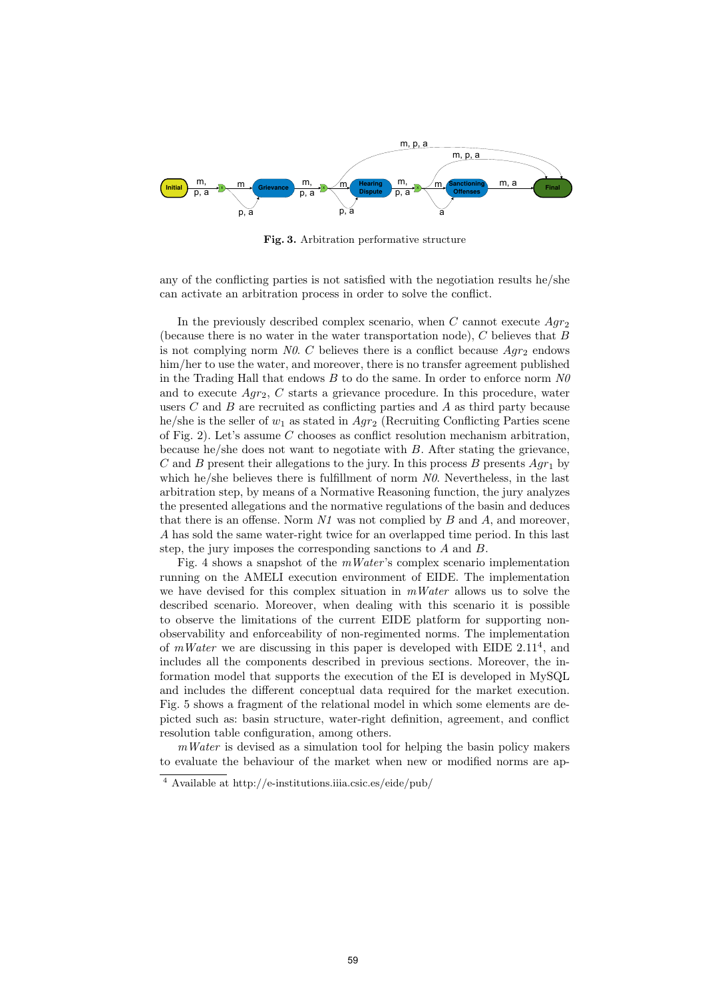

Fig. 3. Arbitration performative structure

any of the conflicting parties is not satisfied with the negotiation results he/she can activate an arbitration process in order to solve the conflict.

In the previously described complex scenario, when C cannot execute  $Aqr_2$ (because there is no water in the water transportation node), C believes that B is not complying norm  $N0$ . C believes there is a conflict because  $Agr_2$  endows him/her to use the water, and moreover, there is no transfer agreement published in the Trading Hall that endows  $B$  to do the same. In order to enforce norm  $N\theta$ and to execute  $Agr_2$ , C starts a grievance procedure. In this procedure, water users  $C$  and  $B$  are recruited as conflicting parties and  $A$  as third party because he/she is the seller of  $w_1$  as stated in  $Agr_2$  (Recruiting Conflicting Parties scene of Fig. 2). Let's assume C chooses as conflict resolution mechanism arbitration, because he/she does not want to negotiate with B. After stating the grievance, C and B present their allegations to the jury. In this process B presents  $Agr_1$  by which he/she believes there is fulfillment of norm  $N\ell$ . Nevertheless, in the last arbitration step, by means of a Normative Reasoning function, the jury analyzes the presented allegations and the normative regulations of the basin and deduces that there is an offense. Norm  $N1$  was not complied by  $B$  and  $A$ , and moreover, A has sold the same water-right twice for an overlapped time period. In this last step, the jury imposes the corresponding sanctions to  $A$  and  $B$ .

Fig. 4 shows a snapshot of the  $mWater's$  complex scenario implementation running on the AMELI execution environment of EIDE. The implementation we have devised for this complex situation in  $mWater$  allows us to solve the described scenario. Moreover, when dealing with this scenario it is possible to observe the limitations of the current EIDE platform for supporting nonobservability and enforceability of non-regimented norms. The implementation of  $mWater$  we are discussing in this paper is developed with EIDE 2.11<sup>4</sup>, and includes all the components described in previous sections. Moreover, the information model that supports the execution of the EI is developed in MySQL and includes the different conceptual data required for the market execution. Fig. 5 shows a fragment of the relational model in which some elements are depicted such as: basin structure, water-right definition, agreement, and conflict resolution table configuration, among others.

mWater is devised as a simulation tool for helping the basin policy makers to evaluate the behaviour of the market when new or modified norms are ap-

<sup>4</sup> Available at http://e-institutions.iiia.csic.es/eide/pub/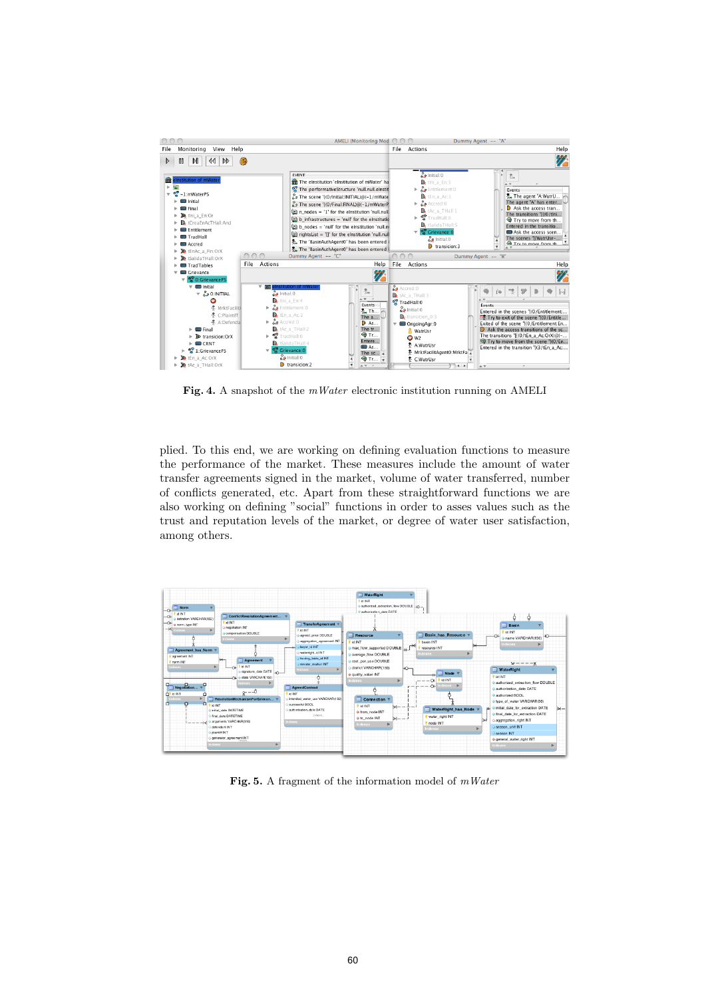|                                                                                                                                                                                                                                                                                                                   | <b>AMELI (Monitoring Mod</b>                                                                                                                                                                                                                                                                                                                                                                                                                                                                                                                                    |                                                                                           |                                                                                                                                                                                                                                                                                                              | Dummy Agent -- "A"                                                                                                                                                                                                                                                                                                                         |
|-------------------------------------------------------------------------------------------------------------------------------------------------------------------------------------------------------------------------------------------------------------------------------------------------------------------|-----------------------------------------------------------------------------------------------------------------------------------------------------------------------------------------------------------------------------------------------------------------------------------------------------------------------------------------------------------------------------------------------------------------------------------------------------------------------------------------------------------------------------------------------------------------|-------------------------------------------------------------------------------------------|--------------------------------------------------------------------------------------------------------------------------------------------------------------------------------------------------------------------------------------------------------------------------------------------------------------|--------------------------------------------------------------------------------------------------------------------------------------------------------------------------------------------------------------------------------------------------------------------------------------------------------------------------------------------|
| Monitoring<br>View<br>Help<br>File                                                                                                                                                                                                                                                                                |                                                                                                                                                                                                                                                                                                                                                                                                                                                                                                                                                                 | File                                                                                      | Actions                                                                                                                                                                                                                                                                                                      | Help                                                                                                                                                                                                                                                                                                                                       |
| $\mathbb{M}$<br>D<br>m<br>∢∢<br>▷                                                                                                                                                                                                                                                                                 |                                                                                                                                                                                                                                                                                                                                                                                                                                                                                                                                                                 |                                                                                           |                                                                                                                                                                                                                                                                                                              | 22                                                                                                                                                                                                                                                                                                                                         |
| <b>THE eInstitution of mWater</b><br><b>ter</b><br>ь<br>-1:mWaterPS<br>Initial<br>Final<br>$\blacktriangleright$ <b>D</b> , tini a En:Or<br><b>R</b> tCreaEnAcTHall:And<br>Entitlement<br>TradHall<br>Accred<br>tEnAc a Fin:OrX<br>tSalidaTHall:OrX                                                               | <b>EVENT</b><br>The einstitution 'einstitution of mWater' ha<br>The performativeStructure 'null.null.einstit<br>The scene '{(0/Initial:INITIAL)@(-1/mWate<br>The scene '{(0/Final:FINAL)@(-1/mWaterP<br>n nodes = '1' for the eInstitution 'null.null.<br>$[$ a b infrastructures = 'null' for the einstitutio<br>(2) b nodes = 'null' for the einstitution 'null.ni<br>[2] rightsList = '[]' for the eInstitution 'null.null<br>& The 'BasinAuthAgent0' has been entered<br><sup>2</sup> . The 'BasinAuthAgent0' has been entered<br>000<br>Dummy Agent -- "C" | 000                                                                                       | $\mathcal{L}_{\bullet}$ Initial:0<br><b>R</b> tini a En:3<br>Entitlement:0<br>$\mathbf{k}$ tEn a Ac:1<br>$\triangleright$ 2. Accred:0<br><b>R</b> tAc a THall: 1<br><b>堂</b> TradHall:0<br><b>C</b> tSalidaTHall:5<br>양 Grievance:0<br>$\overline{\mathbf{v}}$<br>$\frac{6}{68}$ Initial: 0<br>transicion: 3 | 先<br>A T<br>Events<br>先 The agent "A:WatrU<br>The agent "A" has enter<br>Ask the access tran<br>The transitions "HO/tlni<br>Try to move from th<br>Entered in the transitio<br>Ask the access scen<br>The scenes "HWatrUsr-<br>Try to move from the<br>Dummy Agent -- "B"                                                                  |
| TradTables                                                                                                                                                                                                                                                                                                        | Actions<br>File<br>Help                                                                                                                                                                                                                                                                                                                                                                                                                                                                                                                                         | File                                                                                      | Actions                                                                                                                                                                                                                                                                                                      | Help                                                                                                                                                                                                                                                                                                                                       |
| Grievance<br>o O:GrievancePS                                                                                                                                                                                                                                                                                      | 7                                                                                                                                                                                                                                                                                                                                                                                                                                                                                                                                                               |                                                                                           |                                                                                                                                                                                                                                                                                                              | 7                                                                                                                                                                                                                                                                                                                                          |
| initial<br>Δ<br>$\sqrt{2}$ 0: INITIAL<br><b>4</b> MrktFacilitA<br>4 C:Plaintiff<br><sup>•</sup> A:Defenda<br>$\triangleright$ $\blacksquare$ Final<br>$\triangleright$ <b><math>\triangleright</math></b> transicion: OrX<br>$C$ RNT<br>ь<br>2 1:GrievancePS<br><b>B</b> tEn a Ac:OrX<br><b>B</b> tAc a THall:OrX | <b>finite</b> einstitution of mWater<br>先<br>Initial: 0<br>$\mathbf{A}$ $\mathbf{V}$<br><b>R</b> tini a En:4<br>Events<br>$\triangleright$ $\mathcal{L}_2$ Entitlement: 0<br>名 Th<br><b>R</b> tEn a Ac:2<br>The $a$<br>$\triangleright$ 2. Accred: 0<br>$\triangleright$ As<br><b>R</b> tAc a THall:2<br>The tr<br><b>Tr</b><br>■ TradHall:0<br>Þ.<br>Entere<br><b>R</b> tSalidaTHall:4<br>$\blacksquare$ As<br>양 Grievance:0<br>The $sc$ $\sim$<br>$2$ Initial: 0<br><b>to</b> Tr… Ty<br>transicion:2<br>$\triangle$ $\forall$ $\land$                         | Accred:0<br><b>D</b> tAc a THall:3<br>TradHall:0<br>lnitial:0<br>$\bullet$ w <sub>2</sub> | $\mathbf{k}$ transicion $0.3$<br>$\mathbf{v}$ $\blacksquare$ OngoingAgr: 0<br><b>&amp;</b> WatrUsr<br><sup>2</sup> A:WatrUsr<br>₹ MrktFacilitAgent0:MrktFa<br>头 C:WatrUsr<br>$-1$                                                                                                                            | T<br>М<br>Events<br>Entered in the scenes "{(0/Entitlement:<br>Try to exit of the scene "{(0/Entitle<br>Exited of the scene "{(0/Entitlement:En<br>$\triangleright$ Ask the access transitions of the sc<br>The transitions "[{(0/tEn_a_Ac:OrX)@(-<br>Try to move from the scene "{(0/En<br>Entered in the transition "(3/tEn a Ac:<br>A T |

Fig. 4. A snapshot of the  $mWater$  electronic institution running on AMELI

plied. To this end, we are working on defining evaluation functions to measure the performance of the market. These measures include the amount of water transfer agreements signed in the market, volume of water transferred, number of conflicts generated, etc. Apart from these straightforward functions we are also working on defining "social" functions in order to asses values such as the trust and reputation levels of the market, or degree of water user satisfaction, among others.



Fig. 5. A fragment of the information model of  $mWater$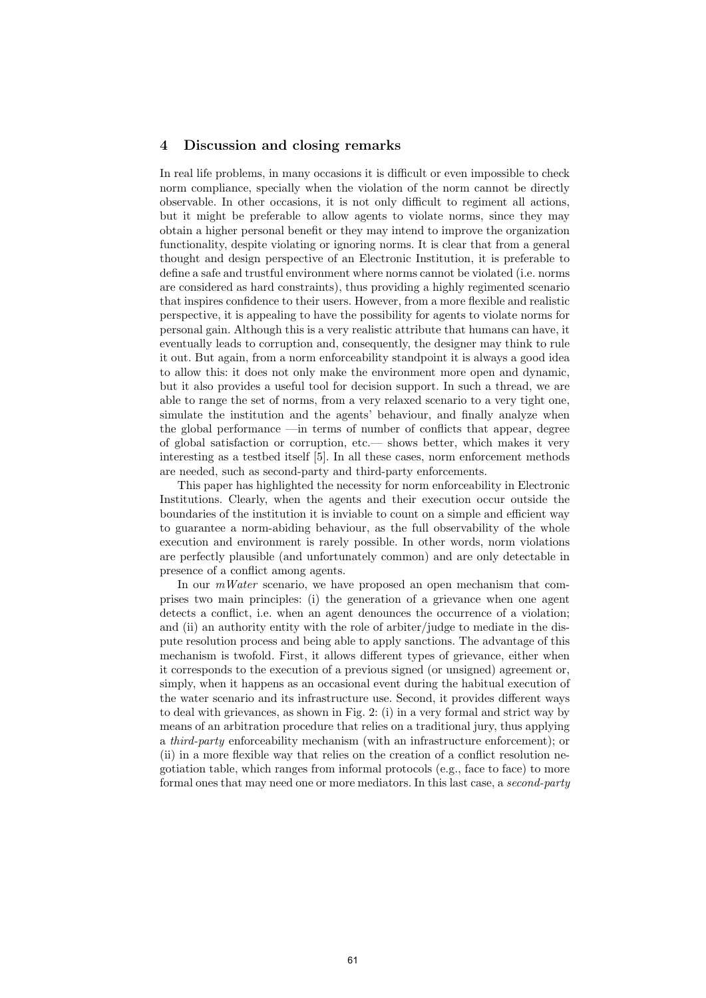# 4 Discussion and closing remarks

In real life problems, in many occasions it is difficult or even impossible to check norm compliance, specially when the violation of the norm cannot be directly observable. In other occasions, it is not only difficult to regiment all actions, but it might be preferable to allow agents to violate norms, since they may obtain a higher personal benefit or they may intend to improve the organization functionality, despite violating or ignoring norms. It is clear that from a general thought and design perspective of an Electronic Institution, it is preferable to define a safe and trustful environment where norms cannot be violated (i.e. norms are considered as hard constraints), thus providing a highly regimented scenario that inspires confidence to their users. However, from a more flexible and realistic perspective, it is appealing to have the possibility for agents to violate norms for personal gain. Although this is a very realistic attribute that humans can have, it eventually leads to corruption and, consequently, the designer may think to rule it out. But again, from a norm enforceability standpoint it is always a good idea to allow this: it does not only make the environment more open and dynamic, but it also provides a useful tool for decision support. In such a thread, we are able to range the set of norms, from a very relaxed scenario to a very tight one, simulate the institution and the agents' behaviour, and finally analyze when the global performance —in terms of number of conflicts that appear, degree of global satisfaction or corruption, etc.— shows better, which makes it very interesting as a testbed itself [5]. In all these cases, norm enforcement methods are needed, such as second-party and third-party enforcements.

This paper has highlighted the necessity for norm enforceability in Electronic Institutions. Clearly, when the agents and their execution occur outside the boundaries of the institution it is inviable to count on a simple and efficient way to guarantee a norm-abiding behaviour, as the full observability of the whole execution and environment is rarely possible. In other words, norm violations are perfectly plausible (and unfortunately common) and are only detectable in presence of a conflict among agents.

In our  $mWater$  scenario, we have proposed an open mechanism that comprises two main principles: (i) the generation of a grievance when one agent detects a conflict, i.e. when an agent denounces the occurrence of a violation; and (ii) an authority entity with the role of arbiter/judge to mediate in the dispute resolution process and being able to apply sanctions. The advantage of this mechanism is twofold. First, it allows different types of grievance, either when it corresponds to the execution of a previous signed (or unsigned) agreement or, simply, when it happens as an occasional event during the habitual execution of the water scenario and its infrastructure use. Second, it provides different ways to deal with grievances, as shown in Fig. 2: (i) in a very formal and strict way by means of an arbitration procedure that relies on a traditional jury, thus applying a third-party enforceability mechanism (with an infrastructure enforcement); or (ii) in a more flexible way that relies on the creation of a conflict resolution negotiation table, which ranges from informal protocols (e.g., face to face) to more formal ones that may need one or more mediators. In this last case, a second-party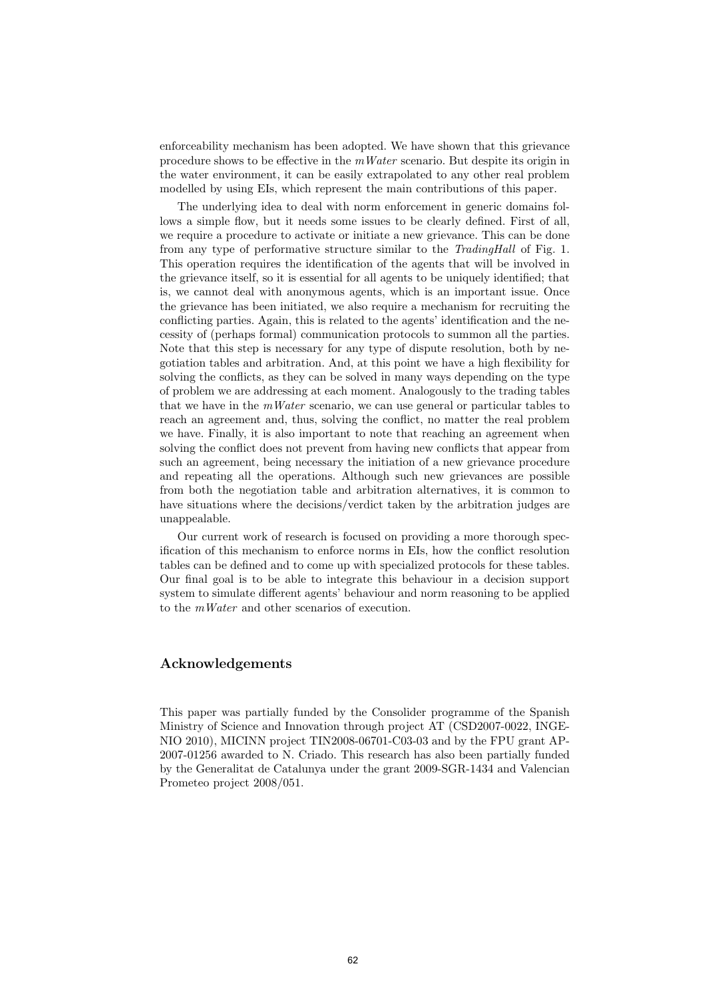enforceability mechanism has been adopted. We have shown that this grievance procedure shows to be effective in the  $mWater$  scenario. But despite its origin in the water environment, it can be easily extrapolated to any other real problem modelled by using EIs, which represent the main contributions of this paper.

The underlying idea to deal with norm enforcement in generic domains follows a simple flow, but it needs some issues to be clearly defined. First of all, we require a procedure to activate or initiate a new grievance. This can be done from any type of performative structure similar to the TradingHall of Fig. 1. This operation requires the identification of the agents that will be involved in the grievance itself, so it is essential for all agents to be uniquely identified; that is, we cannot deal with anonymous agents, which is an important issue. Once the grievance has been initiated, we also require a mechanism for recruiting the conflicting parties. Again, this is related to the agents' identification and the necessity of (perhaps formal) communication protocols to summon all the parties. Note that this step is necessary for any type of dispute resolution, both by negotiation tables and arbitration. And, at this point we have a high flexibility for solving the conflicts, as they can be solved in many ways depending on the type of problem we are addressing at each moment. Analogously to the trading tables that we have in the  $mWater$  scenario, we can use general or particular tables to reach an agreement and, thus, solving the conflict, no matter the real problem we have. Finally, it is also important to note that reaching an agreement when solving the conflict does not prevent from having new conflicts that appear from such an agreement, being necessary the initiation of a new grievance procedure and repeating all the operations. Although such new grievances are possible from both the negotiation table and arbitration alternatives, it is common to have situations where the decisions/verdict taken by the arbitration judges are unappealable.

Our current work of research is focused on providing a more thorough specification of this mechanism to enforce norms in EIs, how the conflict resolution tables can be defined and to come up with specialized protocols for these tables. Our final goal is to be able to integrate this behaviour in a decision support system to simulate different agents' behaviour and norm reasoning to be applied to the mWater and other scenarios of execution.

# Acknowledgements

This paper was partially funded by the Consolider programme of the Spanish Ministry of Science and Innovation through project AT (CSD2007-0022, INGE-NIO 2010), MICINN project TIN2008-06701-C03-03 and by the FPU grant AP-2007-01256 awarded to N. Criado. This research has also been partially funded by the Generalitat de Catalunya under the grant 2009-SGR-1434 and Valencian Prometeo project 2008/051.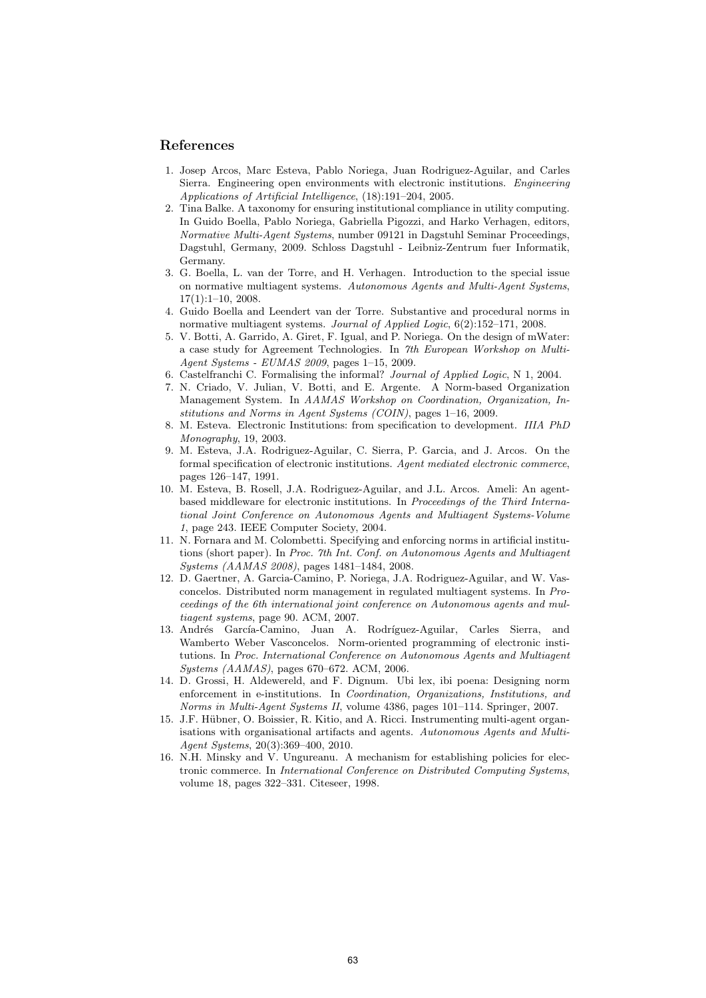### References

- 1. Josep Arcos, Marc Esteva, Pablo Noriega, Juan Rodriguez-Aguilar, and Carles Sierra. Engineering open environments with electronic institutions. Engineering Applications of Artificial Intelligence, (18):191–204, 2005.
- 2. Tina Balke. A taxonomy for ensuring institutional compliance in utility computing. In Guido Boella, Pablo Noriega, Gabriella Pigozzi, and Harko Verhagen, editors, Normative Multi-Agent Systems, number 09121 in Dagstuhl Seminar Proceedings, Dagstuhl, Germany, 2009. Schloss Dagstuhl - Leibniz-Zentrum fuer Informatik, Germany.
- 3. G. Boella, L. van der Torre, and H. Verhagen. Introduction to the special issue on normative multiagent systems. Autonomous Agents and Multi-Agent Systems, 17(1):1–10, 2008.
- 4. Guido Boella and Leendert van der Torre. Substantive and procedural norms in normative multiagent systems. Journal of Applied Logic, 6(2):152-171, 2008.
- 5. V. Botti, A. Garrido, A. Giret, F. Igual, and P. Noriega. On the design of mWater: a case study for Agreement Technologies. In 7th European Workshop on Multi-Agent Systems - EUMAS 2009, pages 1–15, 2009.
- 6. Castelfranchi C. Formalising the informal? Journal of Applied Logic, N 1, 2004.
- 7. N. Criado, V. Julian, V. Botti, and E. Argente. A Norm-based Organization Management System. In AAMAS Workshop on Coordination, Organization, Institutions and Norms in Agent Systems (COIN), pages 1–16, 2009.
- 8. M. Esteva. Electronic Institutions: from specification to development. IIIA PhD Monography, 19, 2003.
- 9. M. Esteva, J.A. Rodriguez-Aguilar, C. Sierra, P. Garcia, and J. Arcos. On the formal specification of electronic institutions. Agent mediated electronic commerce, pages 126–147, 1991.
- 10. M. Esteva, B. Rosell, J.A. Rodriguez-Aguilar, and J.L. Arcos. Ameli: An agentbased middleware for electronic institutions. In Proceedings of the Third International Joint Conference on Autonomous Agents and Multiagent Systems-Volume 1, page 243. IEEE Computer Society, 2004.
- 11. N. Fornara and M. Colombetti. Specifying and enforcing norms in artificial institutions (short paper). In Proc. 7th Int. Conf. on Autonomous Agents and Multiagent Systems (AAMAS 2008), pages 1481–1484, 2008.
- 12. D. Gaertner, A. Garcia-Camino, P. Noriega, J.A. Rodriguez-Aguilar, and W. Vasconcelos. Distributed norm management in regulated multiagent systems. In Proceedings of the 6th international joint conference on Autonomous agents and multiagent systems, page 90. ACM, 2007.
- 13. Andrés García-Camino, Juan A. Rodríguez-Aguilar, Carles Sierra, and Wamberto Weber Vasconcelos. Norm-oriented programming of electronic institutions. In Proc. International Conference on Autonomous Agents and Multiagent Systems (AAMAS), pages 670–672. ACM, 2006.
- 14. D. Grossi, H. Aldewereld, and F. Dignum. Ubi lex, ibi poena: Designing norm enforcement in e-institutions. In Coordination, Organizations, Institutions, and Norms in Multi-Agent Systems II, volume 4386, pages 101–114. Springer, 2007.
- 15. J.F. Hübner, O. Boissier, R. Kitio, and A. Ricci. Instrumenting multi-agent organisations with organisational artifacts and agents. Autonomous Agents and Multi-Agent Systems, 20(3):369–400, 2010.
- 16. N.H. Minsky and V. Ungureanu. A mechanism for establishing policies for electronic commerce. In International Conference on Distributed Computing Systems, volume 18, pages 322–331. Citeseer, 1998.